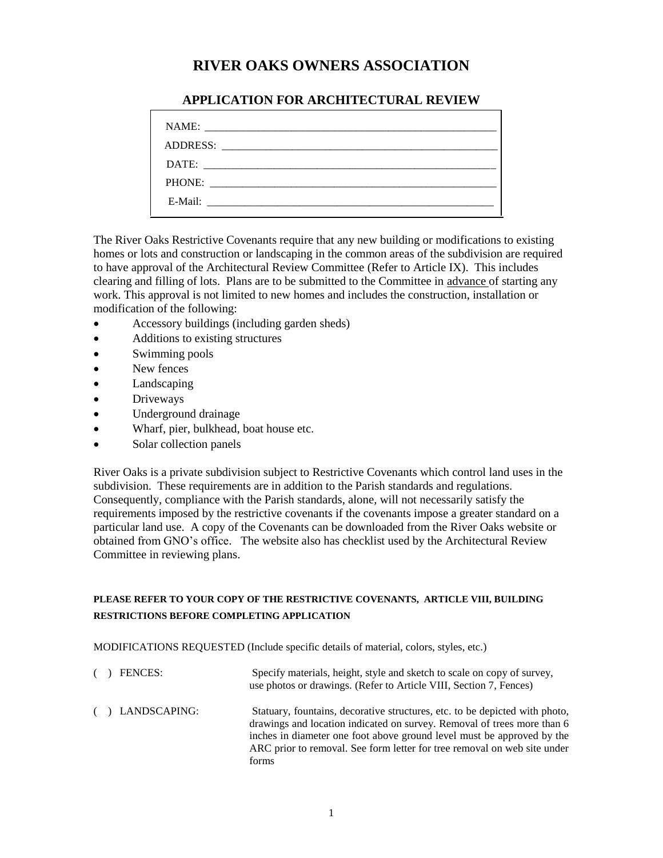# **RIVER OAKS OWNERS ASSOCIATION**

| NAME:<br>ADDRESS:                                                                                                               |
|---------------------------------------------------------------------------------------------------------------------------------|
| DATE:<br><u> 1980 - Andrea Stadt Britain, fransk politik amerikansk politik (d. 1980)</u>                                       |
| PHONE:                                                                                                                          |
| E-Mail:<br><u> 1980 - Jan Barat, martin dina masjid a shekara ta 1980 a shekara ta 1980 a shekara ta 1980 a shekara ta 1980</u> |

## **APPLICATION FOR ARCHITECTURAL REVIEW**

The River Oaks Restrictive Covenants require that any new building or modifications to existing homes or lots and construction or landscaping in the common areas of the subdivision are required to have approval of the Architectural Review Committee (Refer to Article IX). This includes clearing and filling of lots. Plans are to be submitted to the Committee in advance of starting any work. This approval is not limited to new homes and includes the construction, installation or modification of the following:

- Accessory buildings (including garden sheds)
- Additions to existing structures
- Swimming pools
- New fences
- Landscaping
- Driveways
- Underground drainage
- Wharf, pier, bulkhead, boat house etc.
- Solar collection panels

River Oaks is a private subdivision subject to Restrictive Covenants which control land uses in the subdivision. These requirements are in addition to the Parish standards and regulations. Consequently, compliance with the Parish standards, alone, will not necessarily satisfy the requirements imposed by the restrictive covenants if the covenants impose a greater standard on a particular land use. A copy of the Covenants can be downloaded from the River Oaks website or obtained from GNO's office. The website also has checklist used by the Architectural Review Committee in reviewing plans.

# **PLEASE REFER TO YOUR COPY OF THE RESTRICTIVE COVENANTS, ARTICLE VIII, BUILDING RESTRICTIONS BEFORE COMPLETING APPLICATION**

MODIFICATIONS REQUESTED (Include specific details of material, colors, styles, etc.)

forms

( ) FENCES: Specify materials, height, style and sketch to scale on copy of survey, use photos or drawings. (Refer to Article VIII, Section 7, Fences) ( ) LANDSCAPING: Statuary, fountains, decorative structures, etc. to be depicted with photo, drawings and location indicated on survey. Removal of trees more than 6 inches in diameter one foot above ground level must be approved by the ARC prior to removal. See form letter for tree removal on web site under